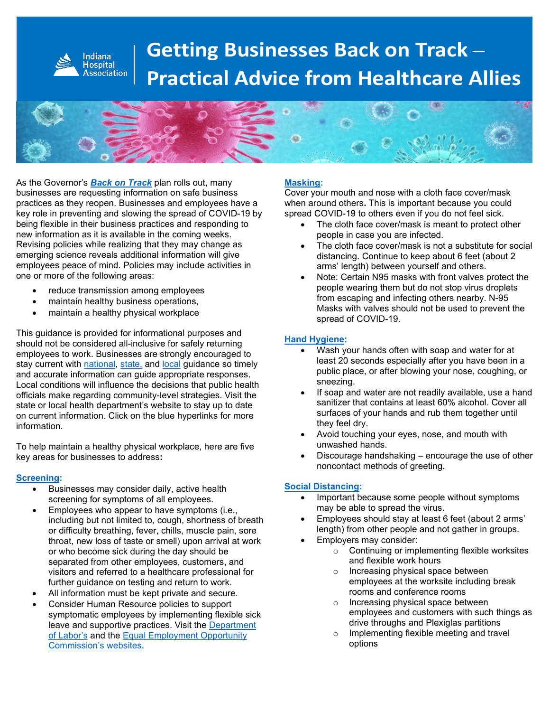

# **Getting Businesses Back on Track – Practical Advice from Healthcare Allies**



As the Governor's *[Back on Track](https://backontrack.in.gov/)* plan rolls out, many businesses are requesting information on safe business practices as they reopen. Businesses and employees have a key role in preventing and slowing the spread of COVID-19 by being flexible in their business practices and responding to new information as it is available in the coming weeks. Revising policies while realizing that they may change as emerging science reveals additional information will give employees peace of mind. Policies may include activities in one or more of the following areas:

- reduce transmission among employees
- maintain healthy business operations,
- maintain a healthy physical workplace

This guidance is provided for informational purposes and should not be considered all-inclusive for safely returning employees to work. Businesses are strongly encouraged to stay current with [national,](https://www.cdc.gov/coronavirus/2019-ncov/community/guidance-business-response.html) [state,](https://www.coronavirus.in.gov/) and [local](http://marionhealth.org/) guidance so timely and accurate information can guide appropriate responses. Local conditions will influence the decisions that public health officials make regarding community-level strategies. Visit the state or local health department's website to stay up to date on current information. Click on the blue hyperlinks for more information.

To help maintain a healthy physical workplace, here are five key areas for businesses to address**:** 

#### **[Screening:](https://www.cdc.gov/coronavirus/2019-ncov/community/guidance-business-response.html)**

- Businesses may consider daily, active health screening for symptoms of all employees.
- Employees who appear to have symptoms (i.e., including but not limited to, cough, shortness of breath or difficulty breathing, fever, chills, muscle pain, sore throat, new loss of taste or smell) upon arrival at work or who become sick during the day should be separated from other employees, customers, and visitors and referred to a healthcare professional for further guidance on testing and return to work.
- All information must be kept private and secure.
- Consider Human Resource policies to support symptomatic employees by implementing flexible sick leave and supportive practices. Visit the [Department](https://www.dol.gov/)  [of Labor's](https://www.dol.gov/) and the [Equal Employment Opportunity](https://www.eeoc.gov/)  [Commission's websites.](https://www.eeoc.gov/)

#### **[Masking:](https://www.cdc.gov/coronavirus/2019-ncov/prevent-getting-sick/prevention.html)**

Cover your mouth and nose with a cloth face cover/mask when around others**.** This is important because you could spread COVID-19 to others even if you do not feel sick.

- The cloth face cover/mask is meant to protect other people in case you are infected.
- The cloth face cover/mask is not a substitute for social distancing. Continue to keep about 6 feet (about 2 arms' length) between yourself and others.
- Note: Certain N95 masks with front valves protect the people wearing them but do not stop virus droplets from escaping and infecting others nearby. N-95 Masks with valves should not be used to prevent the spread of COVID-19.

#### **[Hand Hygiene:](https://www.cdc.gov/coronavirus/2019-ncov/prevent-getting-sick/prevention.html)**

- Wash your hands often with soap and water for at least 20 seconds especially after you have been in a public place, or after blowing your nose, coughing, or sneezing.
- If soap and water are not readily available, use a hand sanitizer that contains at least 60% alcohol. Cover all surfaces of your hands and rub them together until they feel dry.
- Avoid touching your eyes, nose, and mouth with unwashed hands.
- Discourage handshaking encourage the use of other noncontact methods of greeting.

#### **[Social Distancing:](https://www.cdc.gov/coronavirus/2019-ncov/prevent-getting-sick/prevention.html)**

- Important because some people without symptoms may be able to spread the virus.
- Employees should stay at least 6 feet (about 2 arms' length) from other people and not gather in groups.
- Employers may consider:
	- o Continuing or implementing flexible worksites and flexible work hours
	- o Increasing physical space between employees at the worksite including break rooms and conference rooms
	- o Increasing physical space between employees and customers with such things as drive throughs and Plexiglas partitions
	- o Implementing flexible meeting and travel options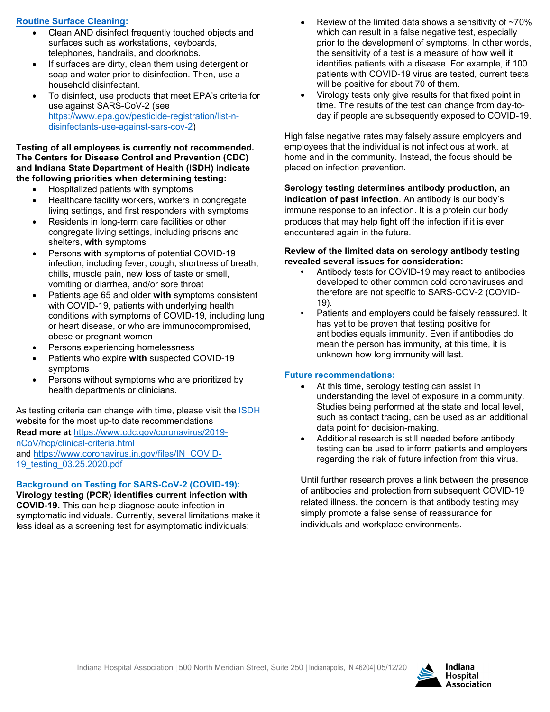### **[Routine Surface Cleaning:](https://www.cdc.gov/coronavirus/2019-ncov/prevent-getting-sick/prevention.html)**

- Clean AND disinfect frequently touched objects and surfaces such as workstations, keyboards, telephones, handrails, and doorknobs.
- If surfaces are dirty, clean them using detergent or soap and water prior to disinfection. Then, use a household disinfectant.
- To disinfect, use products that meet EPA's criteria for use against SARS-CoV-2 (see [https://www.epa.gov/pesticide-registration/list-n](https://www.epa.gov/pesticide-registration/list-n-disinfectants-use-against-sars-cov-2)[disinfectants-use-against-sars-cov-2\)](https://www.epa.gov/pesticide-registration/list-n-disinfectants-use-against-sars-cov-2)

#### **Testing of all employees is currently not recommended. The Centers for Disease Control and Prevention (CDC) and Indiana State Department of Health (ISDH) indicate the following priorities when determining testing:**

- Hospitalized patients with symptoms
- Healthcare facility workers, workers in congregate living settings, and first responders with symptoms
- Residents in long-term care facilities or other congregate living settings, including prisons and shelters, **with** symptoms
- Persons **with** symptoms of potential COVID-19 infection, including fever, cough, shortness of breath, chills, muscle pain, new loss of taste or smell, vomiting or diarrhea, and/or sore throat
- Patients age 65 and older **with** symptoms consistent with COVID-19, patients with underlying health conditions with symptoms of COVID-19, including lung or heart disease, or who are immunocompromised, obese or pregnant women
- Persons experiencing homelessness
- Patients who expire **with** suspected COVID-19 symptoms
- Persons without symptoms who are prioritized by health departments or clinicians.

As testing criteria can change with time, please visit the **ISDH** website for the most up-to date recommendations

**Read more at** [https://www.cdc.gov/coronavirus/2019](https://www.cdc.gov/coronavirus/2019-nCoV/hcp/clinical-criteria.html) [nCoV/hcp/clinical-criteria.html](https://www.cdc.gov/coronavirus/2019-nCoV/hcp/clinical-criteria.html) and [https://www.coronavirus.in.gov/files/IN\\_COVID-](https://www.coronavirus.in.gov/files/IN_COVID-%2019_testing_03.25.2020.pdf)[19\\_testing\\_03.25.2020.pdf](https://www.coronavirus.in.gov/files/IN_COVID-%2019_testing_03.25.2020.pdf)

## **Background on Testing for SARS-CoV-2 (COVID-19):**

**Virology testing (PCR) identifies current infection with COVID-19.** This can help diagnose acute infection in symptomatic individuals. Currently, several limitations make it less ideal as a screening test for asymptomatic individuals:

- Review of the limited data shows a sensitivity of  $~170\%$ which can result in a false negative test, especially prior to the development of symptoms. In other words, the sensitivity of a test is a measure of how well it identifies patients with a disease. For example, if 100 patients with COVID-19 virus are tested, current tests will be positive for about 70 of them.
- Virology tests only give results for that fixed point in time. The results of the test can change from day-today if people are subsequently exposed to COVID-19.

High false negative rates may falsely assure employers and employees that the individual is not infectious at work, at home and in the community. Instead, the focus should be placed on infection prevention.

**Serology testing determines antibody production, an indication of past infection**. An antibody is our body's immune response to an infection. It is a protein our body produces that may help fight off the infection if it is ever encountered again in the future.

#### **Review of the limited data on serology antibody testing revealed several issues for consideration:**

- **•** Antibody tests for COVID-19 may react to antibodies developed to other common cold coronaviruses and therefore are not specific to SARS-COV-2 (COVID-19).
- Patients and employers could be falsely reassured. It has yet to be proven that testing positive for antibodies equals immunity. Even if antibodies do mean the person has immunity, at this time, it is unknown how long immunity will last.

### **Future recommendations:**

- At this time, serology testing can assist in understanding the level of exposure in a community. Studies being performed at the state and local level, such as contact tracing, can be used as an additional data point for decision-making.
- Additional research is still needed before antibody testing can be used to inform patients and employers regarding the risk of future infection from this virus.

Until further research proves a link between the presence of antibodies and protection from subsequent COVID-19 related illness, the concern is that antibody testing may simply promote a false sense of reassurance for individuals and workplace environments.